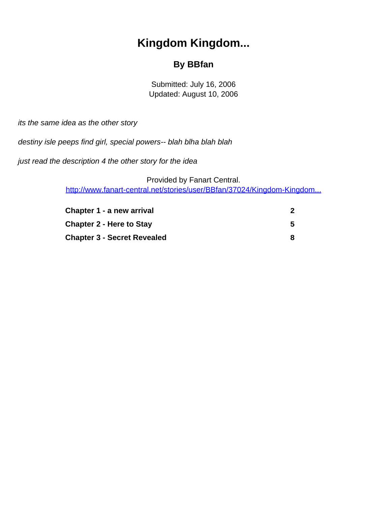# **Kingdom Kingdom...**

#### **By BBfan**

Submitted: July 16, 2006 Updated: August 10, 2006

<span id="page-0-0"></span>its the same idea as the other story

destiny isle peeps find girl, special powers-- blah blha blah blah

just read the description 4 the other story for the idea

Provided by Fanart Central. [http://www.fanart-central.net/stories/user/BBfan/37024/Kingdom-Kingdom...](#page-0-0)

| Chapter 1 - a new arrival          |  |
|------------------------------------|--|
| <b>Chapter 2 - Here to Stay</b>    |  |
| <b>Chapter 3 - Secret Revealed</b> |  |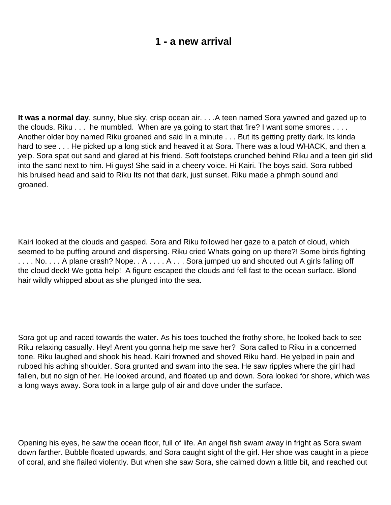## **1 - a new arrival**

<span id="page-1-0"></span>**It was a normal day**, sunny, blue sky, crisp ocean air. . . .A teen named Sora yawned and gazed up to the clouds. Riku . . . he mumbled. When are ya going to start that fire? I want some smores . . . . Another older boy named Riku groaned and said In a minute . . . But it s getting pretty dark. It s kinda hard to see . . . He picked up a long stick and heaved it at Sora. There was a loud WHACK, and then a yelp. Sora spat out sand and glared at his friend. Soft footsteps crunched behind Riku and a teen girl slid into the sand next to him. Hi guys! She said in a cheery voice. Hi Kairi. The boys said. Sora rubbed his bruised head and said to Riku It s not that dark, just sunset. Riku made a phmph sound and groaned.

Kairi looked at the clouds and gasped. Sora and Riku followed her gaze to a patch of cloud, which seemed to be puffing around and dispersing. Riku cried What s going on up there?! Some birds fighting .... No.... A plane crash? Nope...A.... A ... Sora jumped up and shouted out A girl s falling off the cloud deck! We gotta help! A figure escaped the clouds and fell fast to the ocean surface. Blond hair wildly whipped about as she plunged into the sea.

Sora got up and raced towards the water. As his toes touched the frothy shore, he looked back to see Riku relaxing casually. Hey! Aren t you gonna help me save her? Sora called to Riku in a concerned tone. Riku laughed and shook his head. Kairi frowned and shoved Riku hard. He yelped in pain and rubbed his aching shoulder. Sora grunted and swam into the sea. He saw ripples where the girl had fallen, but no sign of her. He looked around, and floated up and down. Sora looked for shore, which was a long ways away. Sora took in a large gulp of air and dove under the surface.

Opening his eyes, he saw the ocean floor, full of life. An angel fish swam away in fright as Sora swam down farther. Bubble floated upwards, and Sora caught sight of the girl. Her shoe was caught in a piece of coral, and she flailed violently. But when she saw Sora, she calmed down a little bit, and reached out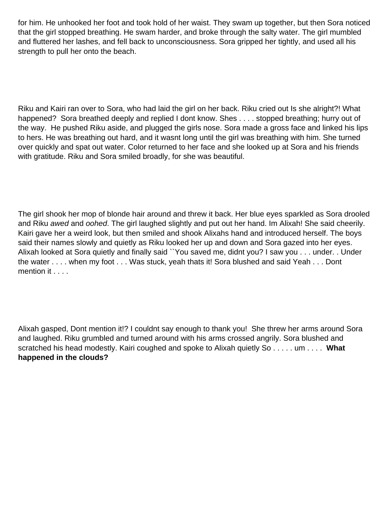for him. He unhooked her foot and took hold of her waist. They swam up together, but then Sora noticed that the girl stopped breathing. He swam harder, and broke through the salty water. The girl mumbled and fluttered her lashes, and fell back to unconsciousness. Sora gripped her tightly, and used all his strength to pull her onto the beach.

Riku and Kairi ran over to Sora, who had laid the girl on her back. Riku cried out Is she alright?! What happened? Sora breathed deeply and replied I don t know. She s . . . . stopped breathing; hurry out of the way. He pushed Riku aside, and plugged the girl s nose. Sora made a gross face and linked his lips to hers. He was breathing out hard, and it wasn t long until the girl was breathing with him. She turned over quickly and spat out water. Color returned to her face and she looked up at Sora and his friends with gratitude. Riku and Sora smiled broadly, for she was beautiful.

The girl shook her mop of blonde hair around and threw it back. Her blue eyes sparkled as Sora drooled and Riku awed and oohed. The girl laughed slightly and put out her hand. I m Alixah! She said cheerily. Kairi gave her a weird look, but then smiled and shook Alixah s hand and introduced herself. The boys said their names slowly and quietly as Riku looked her up and down and Sora gazed into her eyes. Alixah looked at Sora quietly and finally said ``You saved me, didnt you? I saw you . . . under. . Under the water . . . . when my foot . . . Was stuck, yeah that s it! Sora blushed and said Yeah . . . Don t mention it . . . .

Alixah gasped, Don t mention it!? I couldn t say enough to thank you! She threw her arms around Sora and laughed. Riku grumbled and turned around with his arms crossed angrily. Sora blushed and scratched his head modestly. Kairi coughed and spoke to Alixah quietly So . . . . . um . . . . **What happened in the clouds?**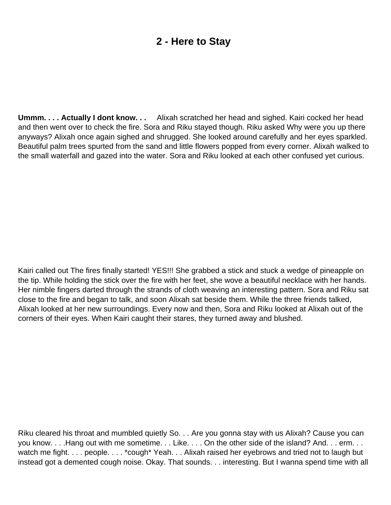# **2 - Here to Stay**

<span id="page-4-0"></span>Ummm. . . . Actually I don t know. . . Alixah scratched her head and sighed. Kairi cocked her head and then went over to check the fire. Sora and Riku stayed though. Riku asked Why were you up there anyways? Alixah once again sighed and shrugged. She looked around carefully and her eyes sparkled. Beautiful palm trees spurted from the sand and little flowers popped from every corner. Alixah walked to the small waterfall and gazed into the water. Sora and Riku looked at each other confused yet curious.

Kairi called out The fire s finally started! YES!!! She grabbed a stick and stuck a wedge of pineapple on the tip. While holding the stick over the fire with her feet, she wove a beautiful necklace with her hands. Her nimble fingers darted through the strands of cloth weaving an interesting pattern. Sora and Riku sat close to the fire and began to talk, and soon Alixah sat beside them. While the three friends talked, Alixah looked at her new surroundings. Every now and then, Sora and Riku looked at Alixah out of the corners of their eyes. When Kairi caught their stares, they turned away and blushed.

Riku cleared his throat and mumbled quietly So. . . Are you gonna stay with us Alixah? Cause you can you know. . . . Hang out with me sometime. . . Like. . . . On the other side of the island? And. . . erm. . . watch me fight. . . . people. . . . \*cough\* Yeah. . . Alixah raised her eyebrows and tried not to laugh but instead got a demented cough noise. Okay. That sounds. . . interesting. But I wanna spend time with all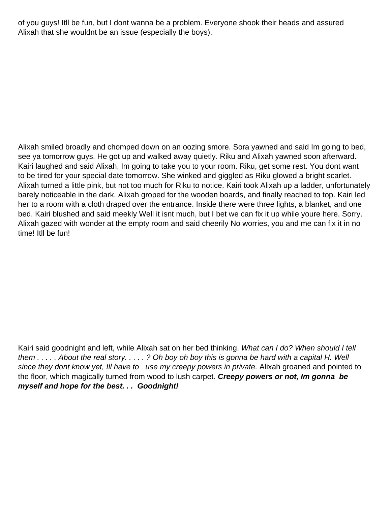of you guys! It II be fun, but I don t wanna be a problem. Everyone shook their heads and assured Alixah that she wouldn t be an issue (especially the boys).

Alixah smiled broadly and chomped down on an oozing smore. Sora yawned and said Im going to bed, see ya tomorrow guys. He got up and walked away quietly. Riku and Alixah yawned soon afterward. Kairi laughed and said Alixah, I m going to take you to your room. Riku, get some rest. You don t want to be tired for your special date tomorrow. She winked and giggled as Riku glowed a bright scarlet. Alixah turned a little pink, but not too much for Riku to notice. Kairi took Alixah up a ladder, unfortunately barely noticeable in the dark. Alixah groped for the wooden boards, and finally reached to top. Kairi led her to a room with a cloth draped over the entrance. Inside there were three lights, a blanket, and one bed. Kairi blushed and said meekly Well it isn t much, but I bet we can fix it up while you re here. Sorry. Alixah gazed with wonder at the empty room and said cheerily No worries, you and me can fix it in no time! It II be fun!

Kairi said goodnight and left, while Alixah sat on her bed thinking. What can I do? When should I tell them . . . . . About the real story. . . . . ? Oh boy oh boy this is gonna be hard with a capital H. Well since they don t know yet, I II have to use my creepy powers in private. Alixah groaned and pointed to the floor, which magically turned from wood to lush carpet. **Creepy powers or not, Im gonna be myself and hope for the best. . . Goodnight!**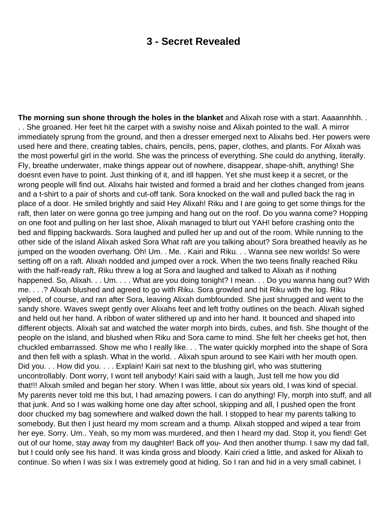### **3 - Secret Revealed**

<span id="page-7-0"></span>**The morning sun shone through the holes in the blanket** and Alixah rose with a start. Aaaannhhh. . . . She groaned. Her feet hit the carpet with a swishy noise and Alixah pointed to the wall. A mirror immediately sprung from the ground, and then a dresser emerged next to Alixah s bed. Her powers were used here and there, creating tables, chairs, pencils, pens, paper, clothes, and plants. For Alixah was the most powerful girl in the world. She was the princess of everything. She could do anything, literally. Fly, breathe underwater, make things appear out of nowhere, disappear, shape-shift, anything! She doesn t even have to point. Just thinking of it, and it II happen. Yet she must keep it a secret, or the wrong people will find out. Alixah s hair twisted and formed a braid and her clothes changed from jeans and a t-shirt to a pair of shorts and cut-off tank. Sora knocked on the wall and pulled back the rag in place of a door. He smiled brightly and said Hey Alixah! Riku and I are going to get some things for the raft, then later on we re gonna go tree jumping and hang out on the roof. Do you wanna come? Hopping on one foot and pulling on her last shoe, Alixah managed to blurt out YAH! before crashing onto the bed and flipping backwards. Sora laughed and pulled her up and out of the room. While running to the other side of the island Alixah asked Sora What raft are you talking about? Sora breathed heavily as he jumped on the wooden overhang. Oh! Um. . Me. . Kairi and Riku. . . Wanna see new worlds! So we re setting off on a raft. Alixah nodded and jumped over a rock. When the two teens finally reached Riku with the half-ready raft, Riku threw a log at Sora and laughed and talked to Alixah as if nothing happened. So, Alixah. . . Um. . . . What are you doing tonight? I mean. . . Do you wanna hang out? With me. . . .? Alixah blushed and agreed to go with Riku. Sora growled and hit Riku with the log. Riku yelped, of course, and ran after Sora, leaving Alixah dumbfounded. She just shrugged and went to the sandy shore. Waves swept gently over Alixah s feet and left frothy outlines on the beach. Alixah sighed and held out her hand. A ribbon of water slithered up and into her hand. It bounced and shaped into different objects. Alixah sat and watched the water morph into birds, cubes, and fish. She thought of the people on the island, and blushed when Riku and Sora came to mind. She felt her cheeks get hot, then chuckled embarrassed. Show me who I really like. . . The water quickly morphed into the shape of Sora and then fell with a splash. What in the world. . Alixah spun around to see Kairi with her mouth open. Did you. . . How did you. . . . Explain! Kairi sat next to the blushing girl, who was stuttering uncontrollably. Don t worry, I won t tell anybody! Kairi said with a laugh, Just tell me how you did that!!! Alixah smiled and began her story. When I was little, about six years old, I was kind of special. My parents never told me this but, I had amazing powers. I can do anything! Fly, morph into stuff, and all that junk. And so I was walking home one day after school, skipping and all, I pushed open the front door chucked my bag somewhere and walked down the hall. I stopped to hear my parents talking to somebody. But then I just heard my mom scream and a thump. Alixah stopped and wiped a tear from her eye. Sorry. Um.. Yeah, so my mom was murdered, and then I heard my dad. Stop it, you fiend! Get out of our home, stay away from my daughter! Back off you- And then another thump. I saw my dad fall, but I could only see his hand. It was kinda gross and bloody. Kairi cried a little, and asked for Alixah to continue. So when I was six I was extremely good at hiding. So I ran and hid in a very small cabinet. I